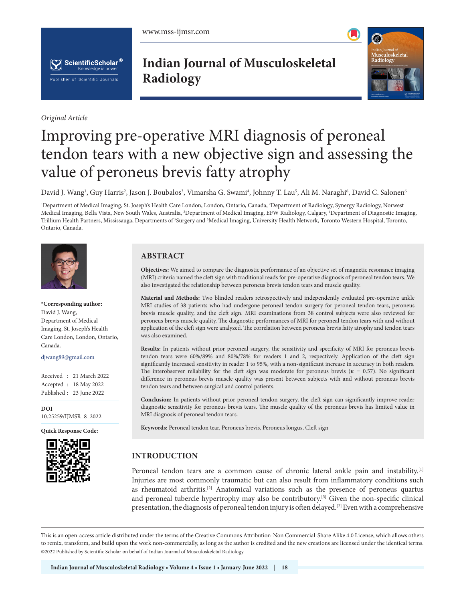www.mss-ijmsr.com





*Original Article*

**Indian Journal of Musculoskeletal Radiology**



# Improving pre-operative MRI diagnosis of peroneal tendon tears with a new objective sign and assessing the value of peroneus brevis fatty atrophy

David J. Wang<sup>ı</sup>, Guy Harris<sup>2</sup>, Jason J. Boubalos<sup>3</sup>, Vimarsha G. Swami<sup>4</sup>, Johnny T. Lau<sup>5</sup>, Ali M. Naraghi<sup>6</sup>, David C. Salonen<sup>6</sup>

1 Department of Medical Imaging, St. Joseph's Health Care London, London, Ontario, Canada, 2 Department of Radiology, Synergy Radiology, Norwest Medical Imaging, Bella Vista, New South Wales, Australia, <sup>3</sup>Department of Medical Imaging, EFW Radiology, Calgary, <sup>4</sup>Department of Diagnostic Imaging, Trillium Health Partners, Mississauga, Departments of <sup>5</sup>Surgery and <sup>6</sup>Medical Imaging, University Health Network, Toronto Western Hospital, Toronto, Ontario, Canada.



### **\*Corresponding author:** David J. Wang, Department of Medical Imaging, St. Joseph's Health

Care London, London, Ontario, Canada.

djwang89@gmail.com

Received : 21 March 2022 Accepted : 18 May 2022 Published : 23 June 2022

**DOI** [10.25259/IJMSR\\_8\\_2022](https://dx.doi.org/10.25259/IJMSR_8_2022)

**Quick Response Code:**



# **ABSTRACT**

**Objectives:** We aimed to compare the diagnostic performance of an objective set of magnetic resonance imaging (MRI) criteria named the cleft sign with traditional reads for pre-operative diagnosis of peroneal tendon tears. We also investigated the relationship between peroneus brevis tendon tears and muscle quality.

**Material and Methods:** Two blinded readers retrospectively and independently evaluated pre-operative ankle MRI studies of 38 patients who had undergone peroneal tendon surgery for peroneal tendon tears, peroneus brevis muscle quality, and the cleft sign. MRI examinations from 38 control subjects were also reviewed for peroneus brevis muscle quality. The diagnostic performances of MRI for peroneal tendon tears with and without application of the cleft sign were analyzed. The correlation between peroneus brevis fatty atrophy and tendon tears was also examined.

**Results:** In patients without prior peroneal surgery, the sensitivity and specificity of MRI for peroneus brevis tendon tears were 60%/89% and 80%/78% for readers 1 and 2, respectively. Application of the cleft sign significantly increased sensitivity in reader 1 to 95%, with a non-significant increase in accuracy in both readers. The interobserver reliability for the cleft sign was moderate for peroneus brevis (κ = 0.57). No significant difference in peroneus brevis muscle quality was present between subjects with and without peroneus brevis tendon tears and between surgical and control patients.

**Conclusion:** In patients without prior peroneal tendon surgery, the cleft sign can significantly improve reader diagnostic sensitivity for peroneus brevis tears. The muscle quality of the peroneus brevis has limited value in MRI diagnosis of peroneal tendon tears.

**Keywords:** Peroneal tendon tear, Peroneus brevis, Peroneus longus, Cleft sign

# **INTRODUCTION**

Peroneal tendon tears are a common cause of chronic lateral ankle pain and instability.<sup>[1]</sup> Injuries are most commonly traumatic but can also result from inflammatory conditions such as rheumatoid arthritis.[2] Anatomical variations such as the presence of peroneus quartus and peroneal tubercle hypertrophy may also be contributory.[3] Given the non-specific clinical presentation, the diagnosis of peroneal tendon injury is often delayed.<sup>[2]</sup> Even with a comprehensive

This is an open-access article distributed under the terms of the Creative Commons Attribution-Non Commercial-Share Alike 4.0 License, which allows others to remix, transform, and build upon the work non-commercially, as long as the author is credited and the new creations are licensed under the identical terms. ©2022 Published by Scientific Scholar on behalf of Indian Journal of Musculoskeletal Radiology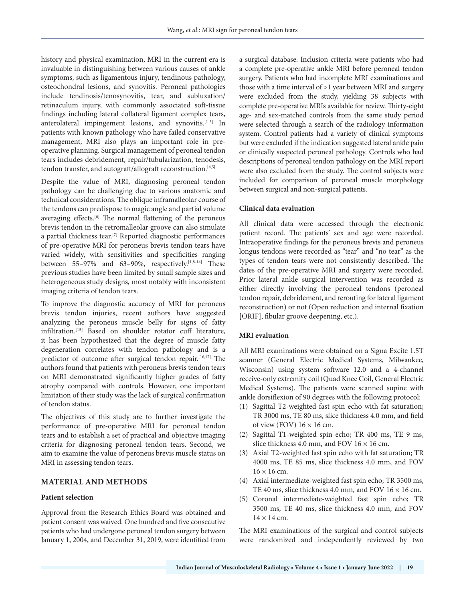history and physical examination, MRI in the current era is invaluable in distinguishing between various causes of ankle symptoms, such as ligamentous injury, tendinous pathology, osteochondral lesions, and synovitis. Peroneal pathologies include tendinosis/tenosynovitis, tear, and subluxation/ retinaculum injury, with commonly associated soft-tissue findings including lateral collateral ligament complex tears, anterolateral impingement lesions, and synovitis.[1-3] In patients with known pathology who have failed conservative management, MRI also plays an important role in preoperative planning. Surgical management of peroneal tendon tears includes debridement, repair/tubularization, tenodesis, tendon transfer, and autograft/allograft reconstruction.<sup>[4,5]</sup>

Despite the value of MRI, diagnosing peroneal tendon pathology can be challenging due to various anatomic and technical considerations. The oblique inframalleolar course of the tendons can predispose to magic angle and partial volume averaging effects.<sup>[6]</sup> The normal flattening of the peroneus brevis tendon in the retromalleolar groove can also simulate a partial thickness tear.[7] Reported diagnostic performances of pre-operative MRI for peroneus brevis tendon tears have varied widely, with sensitivities and specificities ranging between 55–97% and 63–90%, respectively.<sup>[1,8-14]</sup> These previous studies have been limited by small sample sizes and heterogeneous study designs, most notably with inconsistent imaging criteria of tendon tears.

To improve the diagnostic accuracy of MRI for peroneus brevis tendon injuries, recent authors have suggested analyzing the peroneus muscle belly for signs of fatty infiltration.[15] Based on shoulder rotator cuff literature, it has been hypothesized that the degree of muscle fatty degeneration correlates with tendon pathology and is a predictor of outcome after surgical tendon repair.<sup>[16,17]</sup> The authors found that patients with peroneus brevis tendon tears on MRI demonstrated significantly higher grades of fatty atrophy compared with controls. However, one important limitation of their study was the lack of surgical confirmation of tendon status.

The objectives of this study are to further investigate the performance of pre-operative MRI for peroneal tendon tears and to establish a set of practical and objective imaging criteria for diagnosing peroneal tendon tears. Second, we aim to examine the value of peroneus brevis muscle status on MRI in assessing tendon tears.

#### **MATERIAL AND METHODS**

# **Patient selection**

Approval from the Research Ethics Board was obtained and patient consent was waived. One hundred and five consecutive patients who had undergone peroneal tendon surgery between January 1, 2004, and December 31, 2019, were identified from a surgical database. Inclusion criteria were patients who had a complete pre-operative ankle MRI before peroneal tendon surgery. Patients who had incomplete MRI examinations and those with a time interval of >1 year between MRI and surgery were excluded from the study, yielding 38 subjects with complete pre-operative MRIs available for review. Thirty-eight age- and sex-matched controls from the same study period were selected through a search of the radiology information system. Control patients had a variety of clinical symptoms but were excluded if the indication suggested lateral ankle pain or clinically suspected peroneal pathology. Controls who had descriptions of peroneal tendon pathology on the MRI report were also excluded from the study. The control subjects were included for comparison of peroneal muscle morphology between surgical and non-surgical patients.

#### **Clinical data evaluation**

All clinical data were accessed through the electronic patient record. The patients' sex and age were recorded. Intraoperative findings for the peroneus brevis and peroneus longus tendons were recorded as "tear" and "no tear" as the types of tendon tears were not consistently described. The dates of the pre-operative MRI and surgery were recorded. Prior lateral ankle surgical intervention was recorded as either directly involving the peroneal tendons (peroneal tendon repair, debridement, and rerouting for lateral ligament reconstruction) or not (Open reduction and internal fixation [ORIF], fibular groove deepening, etc.).

#### **MRI evaluation**

All MRI examinations were obtained on a Signa Excite 1.5T scanner (General Electric Medical Systems, Milwaukee, Wisconsin) using system software 12.0 and a 4-channel receive-only extremity coil (Quad Knee Coil, General Electric Medical Systems). The patients were scanned supine with ankle dorsiflexion of 90 degrees with the following protocol:

- (1) Sagittal T2-weighted fast spin echo with fat saturation; TR 3000 ms, TE 80 ms, slice thickness 4.0 mm, and field of view (FOV)  $16 \times 16$  cm.
- (2) Sagittal T1-weighted spin echo; TR 400 ms, TE 9 ms, slice thickness 4.0 mm, and FOV  $16 \times 16$  cm.
- (3) Axial T2-weighted fast spin echo with fat saturation; TR 4000 ms, TE 85 ms, slice thickness 4.0 mm, and FOV  $16 \times 16$  cm.
- (4) Axial intermediate-weighted fast spin echo; TR 3500 ms, TE 40 ms, slice thickness 4.0 mm, and FOV  $16 \times 16$  cm.
- (5) Coronal intermediate-weighted fast spin echo; TR 3500 ms, TE 40 ms, slice thickness 4.0 mm, and FOV  $14 \times 14$  cm.

The MRI examinations of the surgical and control subjects were randomized and independently reviewed by two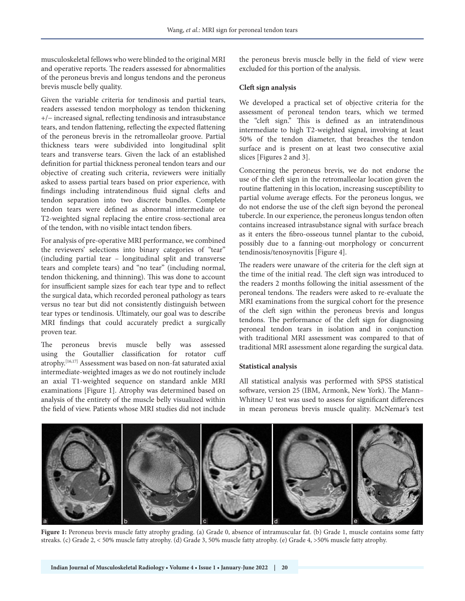musculoskeletal fellows who were blinded to the original MRI and operative reports. The readers assessed for abnormalities of the peroneus brevis and longus tendons and the peroneus brevis muscle belly quality.

Given the variable criteria for tendinosis and partial tears, readers assessed tendon morphology as tendon thickening +/− increased signal, reflecting tendinosis and intrasubstance tears, and tendon flattening, reflecting the expected flattening of the peroneus brevis in the retromalleolar groove. Partial thickness tears were subdivided into longitudinal split tears and transverse tears. Given the lack of an established definition for partial thickness peroneal tendon tears and our objective of creating such criteria, reviewers were initially asked to assess partial tears based on prior experience, with findings including intratendinous fluid signal clefts and tendon separation into two discrete bundles. Complete tendon tears were defined as abnormal intermediate or T2-weighted signal replacing the entire cross-sectional area of the tendon, with no visible intact tendon fibers.

For analysis of pre-operative MRI performance, we combined the reviewers' selections into binary categories of "tear" (including partial tear – longitudinal split and transverse tears and complete tears) and "no tear" (including normal, tendon thickening, and thinning). This was done to account for insufficient sample sizes for each tear type and to reflect the surgical data, which recorded peroneal pathology as tears versus no tear but did not consistently distinguish between tear types or tendinosis. Ultimately, our goal was to describe MRI findings that could accurately predict a surgically proven tear.

The peroneus brevis muscle belly was assessed using the Goutallier classification for rotator cuff atrophy.[16,17] Assessment was based on non-fat saturated axial intermediate-weighted images as we do not routinely include an axial T1-weighted sequence on standard ankle MRI examinations [Figure 1]. Atrophy was determined based on analysis of the entirety of the muscle belly visualized within the field of view. Patients whose MRI studies did not include

the peroneus brevis muscle belly in the field of view were excluded for this portion of the analysis.

#### **Cleft sign analysis**

We developed a practical set of objective criteria for the assessment of peroneal tendon tears, which we termed the "cleft sign." This is defined as an intratendinous intermediate to high T2-weighted signal, involving at least 50% of the tendon diameter, that breaches the tendon surface and is present on at least two consecutive axial slices [Figures 2 and 3].

Concerning the peroneus brevis, we do not endorse the use of the cleft sign in the retromalleolar location given the routine flattening in this location, increasing susceptibility to partial volume average effects. For the peroneus longus, we do not endorse the use of the cleft sign beyond the peroneal tubercle. In our experience, the peroneus longus tendon often contains increased intrasubstance signal with surface breach as it enters the fibro-osseous tunnel plantar to the cuboid, possibly due to a fanning-out morphology or concurrent tendinosis/tenosynovitis [Figure 4].

The readers were unaware of the criteria for the cleft sign at the time of the initial read. The cleft sign was introduced to the readers 2 months following the initial assessment of the peroneal tendons. The readers were asked to re-evaluate the MRI examinations from the surgical cohort for the presence of the cleft sign within the peroneus brevis and longus tendons. The performance of the cleft sign for diagnosing peroneal tendon tears in isolation and in conjunction with traditional MRI assessment was compared to that of traditional MRI assessment alone regarding the surgical data.

#### **Statistical analysis**

All statistical analysis was performed with SPSS statistical software, version 25 (IBM, Armonk, New York). The Mann– Whitney U test was used to assess for significant differences in mean peroneus brevis muscle quality. McNemar's test



**Figure 1:** Peroneus brevis muscle fatty atrophy grading. (a) Grade 0, absence of intramuscular fat. (b) Grade 1, muscle contains some fatty streaks. (c) Grade 2, < 50% muscle fatty atrophy. (d) Grade 3, 50% muscle fatty atrophy. (e) Grade 4, >50% muscle fatty atrophy.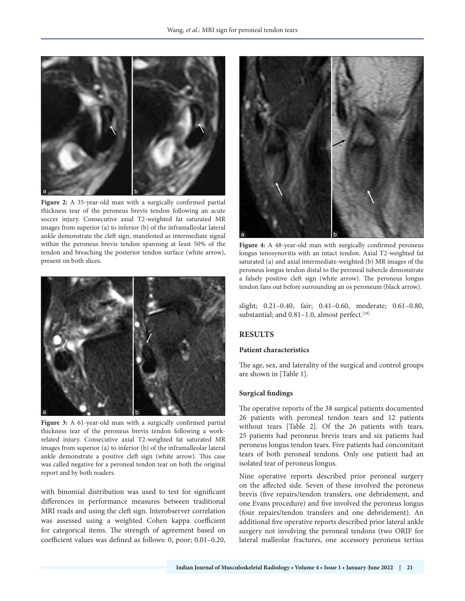

**Figure 2:** A 35-year-old man with a surgically confirmed partial thickness tear of the peroneus brevis tendon following an acute soccer injury. Consecutive axial T2-weighted fat saturated MR images from superior (a) to inferior (b) of the inframalleolar lateral ankle demonstrate the cleft sign, manifested as intermediate signal within the peroneus brevis tendon spanning at least 50% of the tendon and breaching the posterior tendon surface (white arrow), present on both slices.



Figure 3: A 61-year-old man with a surgically confirmed partial thickness tear of the peroneus brevis tendon following a workrelated injury. Consecutive axial T2-weighted fat saturated MR images from superior (a) to inferior (b) of the inframalleolar lateral ankle demonstrate a positive cleft sign (white arrow). This case was called negative for a peroneal tendon tear on both the original report and by both readers.

with binomial distribution was used to test for significant differences in performance measures between traditional MRI reads and using the cleft sign. Interobserver correlation was assessed using a weighted Cohen kappa coefficient for categorical items. The strength of agreement based on coefficient values was defined as follows: 0, poor; 0.01–0.20,



**Figure 4:** A 48-year-old man with surgically confirmed peroneus longus tenosynovitis with an intact tendon. Axial T2-weighted fat saturated (a) and axial intermediate-weighted (b) MR images of the peroneus longus tendon distal to the peroneal tubercle demonstrate a falsely positive cleft sign (white arrow). The peroneus longus tendon fans out before surrounding an os peroneum (black arrow).

slight; 0.21–0.40, fair; 0.41–0.60, moderate; 0.61–0.80, substantial; and 0.81-1.0, almost perfect.<sup>[18]</sup>

# **RESULTS**

#### **Patient characteristics**

The age, sex, and laterality of the surgical and control groups are shown in [Table 1].

# **Surgical findings**

The operative reports of the 38 surgical patients documented 26 patients with peroneal tendon tears and 12 patients without tears [Table 2]. Of the 26 patients with tears, 25 patients had peroneus brevis tears and six patients had peroneus longus tendon tears. Five patients had concomitant tears of both peroneal tendons. Only one patient had an isolated tear of peroneus longus.

Nine operative reports described prior peroneal surgery on the affected side. Seven of these involved the peroneus brevis (five repairs/tendon transfers, one debridement, and one Evans procedure) and five involved the peroneus longus (four repairs/tendon transfers and one debridement). An additional five operative reports described prior lateral ankle surgery not involving the peroneal tendons (two ORIF for lateral malleolar fractures, one accessory peroneus tertius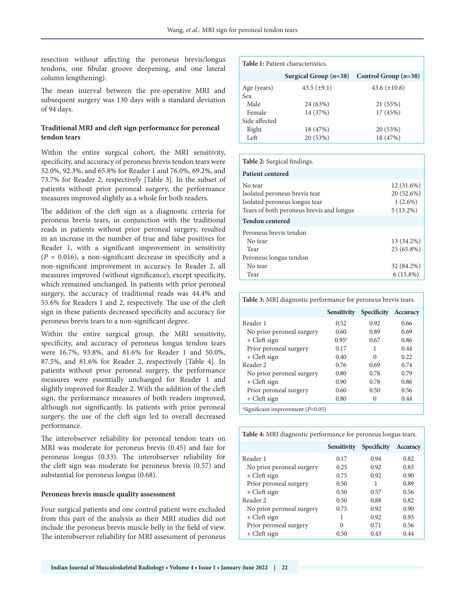resection without affecting the peroneus brevis/longus tendons, one fibular groove deepening, and one lateral column lengthening).

The mean interval between the pre-operative MRI and subsequent surgery was 130 days with a standard deviation of 94 days.

# **Traditional MRI and cleft sign performance for peroneal tendon tears**

Within the entire surgical cohort, the MRI sensitivity, specificity, and accuracy of peroneus brevis tendon tears were 52.0%, 92.3%, and 65.8% for Reader 1 and 76.0%, 69.2%, and 73.7% for Reader 2, respectively [Table 3]. In the subset of patients without prior peroneal surgery, the performance measures improved slightly as a whole for both readers.

The addition of the cleft sign as a diagnostic criteria for peroneus brevis tears, in conjunction with the traditional reads in patients without prior peroneal surgery, resulted in an increase in the number of true and false positives for Reader 1, with a significant improvement in sensitivity  $(P = 0.016)$ , a non-significant decrease in specificity and a non-significant improvement in accuracy. In Reader 2, all measures improved (without significance), except specificity, which remained unchanged. In patients with prior peroneal surgery, the accuracy of traditional reads was 44.4% and 55.6% for Readers 1 and 2, respectively. The use of the cleft sign in these patients decreased specificity and accuracy for peroneus brevis tears to a non-significant degree.

Within the entire surgical group, the MRI sensitivity, specificity, and accuracy of peroneus longus tendon tears were 16.7%, 93.8%, and 81.6% for Reader 1 and 50.0%, 87.5%, and 81.6% for Reader 2, respectively [Table 4]. In patients without prior peroneal surgery, the performance measures were essentially unchanged for Reader 1 and slightly improved for Reader 2. With the addition of the cleft sign, the performance measures of both readers improved, although not significantly. In patients with prior peroneal surgery, the use of the cleft sign led to overall decreased performance.

The interobserver reliability for peroneal tendon tears on MRI was moderate for peroneus brevis (0.45) and fair for peroneus longus (0.33). The interobserver reliability for the cleft sign was moderate for peroneus brevis (0.57) and substantial for peroneus longus (0.68).

### **Peroneus brevis muscle quality assessment**

Four surgical patients and one control patient were excluded from this part of the analysis as their MRI studies did not include the peroneus brevis muscle belly in the field of view. The interobserver reliability for MRI assessment of peroneus

| <b>Table 1:</b> Patient characteristics. |                         |                        |  |
|------------------------------------------|-------------------------|------------------------|--|
|                                          | Surgical Group $(n=38)$ | Control Group $(n=38)$ |  |
| Age (years)<br>Sex                       | $43.5 \ (\pm 9.1)$      | 43.6 $(\pm 10.6)$      |  |
| Male                                     | 24 (63%)                | 21 (55%)               |  |
| Female                                   | 14 (37%)                | 17(45%)                |  |
| Side affected                            |                         |                        |  |
| Right                                    | 18 (47%)                | 20 (53%)               |  |
| Left                                     | 20 (53%)                | 18 (47%)               |  |

#### **Table 2:** Surgical findings.

| <b>Patient centered</b>                                                                                               |                                                         |
|-----------------------------------------------------------------------------------------------------------------------|---------------------------------------------------------|
| No tear<br>Isolated peroneus brevis tear<br>Isolated peroneus longus tear<br>Tears of both peroneus brevis and longus | $12(31.6\%)$<br>20 (52.6%)<br>$1(2.6\%)$<br>$5(13.2\%)$ |
| <b>Tendon centered</b>                                                                                                |                                                         |
| Peroneus brevis tendon<br>No tear<br>Tear<br>Peroneus longus tendon                                                   | 13 (34.2%)<br>25 (65.8%)                                |
| No tear<br>Tear                                                                                                       | 32 (84.2%)<br>$6(15.8\%)$                               |

**Table 3:** MRI diagnostic performance for peroneus brevis tears.

|                                              | <b>Sensitivity</b> | <b>Specificity</b> | <b>Accuracy</b> |
|----------------------------------------------|--------------------|--------------------|-----------------|
| Reader 1                                     | 0.52               | 0.92               | 0.66            |
| No prior peroneal surgery                    | 0.60               | 0.89               | 0.69            |
| + Cleft sign                                 | $0.95^{\rm a}$     | 0.67               | 0.86            |
| Prior peroneal surgery                       | 0.17               | 1                  | 0.44            |
| + Cleft sign                                 | 0.40               | 0                  | 0.22            |
| Reader 2                                     | 0.76               | 0.69               | 0.74            |
| No prior peroneal surgery                    | 0.80               | 0.78               | 0.79            |
| + Cleft sign                                 | 0.90               | 0.78               | 0.86            |
| Prior peroneal surgery                       | 0.60               | 0.50               | 0.56            |
| + Cleft sign                                 | 0.80               | $\mathcal{L}$      | 0.44            |
| $\text{``Significant improvement } (P<0.05)$ |                    |                    |                 |

| Table 4: MRI diagnostic performance for peroneus longus tears. |  |
|----------------------------------------------------------------|--|
|----------------------------------------------------------------|--|

|                           | <b>Sensitivity</b> | <b>Specificity</b> | <b>Accuracy</b> |
|---------------------------|--------------------|--------------------|-----------------|
| Reader 1                  | 0.17               | 0.94               | 0.82            |
| No prior peroneal surgery | 0.25               | 0.92               | 0.83            |
| + Cleft sign              | 0.75               | 0.92               | 0.90            |
| Prior peroneal surgery    | 0.50               |                    | 0.89            |
| + Cleft sign              | 0.50               | 0.57               | 0.56            |
| Reader 2                  | 0.50               | 0.88               | 0.82            |
| No prior peroneal surgery | 0.75               | 0.92               | 0.90            |
| + Cleft sign              |                    | 0.92               | 0.93            |
| Prior peroneal surgery    | 0                  | 0.71               | 0.56            |
| + Cleft sign              | 0.50               | 0.43               | 0.44            |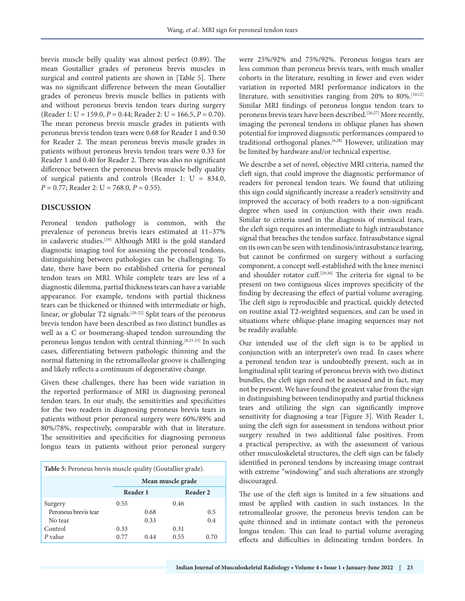brevis muscle belly quality was almost perfect (0.89). The mean Goutallier grades of peroneus brevis muscles in surgical and control patients are shown in [Table 5]. There was no significant difference between the mean Goutallier grades of peroneus brevis muscle bellies in patients with and without peroneus brevis tendon tears during surgery (Reader 1: U = 159.0, *P* = 0.44; Reader 2: U = 166.5, *P* = 0.70). The mean peroneus brevis muscle grades in patients with peroneus brevis tendon tears were 0.68 for Reader 1 and 0.50 for Reader 2. The mean peroneus brevis muscle grades in patients without peroneus brevis tendon tears were 0.33 for Reader 1 and 0.40 for Reader 2. There was also no significant difference between the peroneus brevis muscle belly quality of surgical patients and controls (Reader 1: U = 834.0, *P* = 0.77; Reader 2: U = 768.0, *P* = 0.55).

# **DISCUSSION**

Peroneal tendon pathology is common, with the prevalence of peroneus brevis tears estimated at 11–37% in cadaveric studies.<sup>[19]</sup> Although MRI is the gold standard diagnostic imaging tool for assessing the peroneal tendons, distinguishing between pathologies can be challenging. To date, there have been no established criteria for peroneal tendon tears on MRI. While complete tears are less of a diagnostic dilemma, partial thickness tears can have a variable appearance. For example, tendons with partial thickness tears can be thickened or thinned with intermediate or high, linear, or globular T2 signals.[20-22] Split tears of the peroneus brevis tendon have been described as two distinct bundles as well as a C or boomerang-shaped tendon surrounding the peroneus longus tendon with central thinning.<sup>[8,23-25]</sup> In such cases, differentiating between pathologic thinning and the normal flattening in the retromalleolar groove is challenging and likely reflects a continuum of degenerative change.

Given these challenges, there has been wide variation in the reported performance of MRI in diagnosing peroneal tendon tears. In our study, the sensitivities and specificities for the two readers in diagnosing peroneus brevis tears in patients without prior peroneal surgery were 60%/89% and 80%/78%, respectively, comparable with that in literature. The sensitivities and specificities for diagnosing peroneus longus tears in patients without prior peroneal surgery

| Table 5: Peroneus brevis muscle quality (Goutallier grade). |                   |      |          |      |
|-------------------------------------------------------------|-------------------|------|----------|------|
|                                                             | Mean muscle grade |      |          |      |
|                                                             | Reader 1          |      | Reader 2 |      |
| Surgery                                                     | 0.55              |      | 0.46     |      |
| Peroneus brevis tear                                        |                   | 0.68 |          | 0.5  |
| No tear                                                     |                   | 0.33 |          | 0.4  |
| Control                                                     | 0.33              |      | 0.31     |      |
| $P$ value                                                   | 0.77              | 0.44 | 0.55     | 0.70 |

were 25%/92% and 75%/92%. Peroneus longus tears are less common than peroneus brevis tears, with much smaller cohorts in the literature, resulting in fewer and even wider variation in reported MRI performance indicators in the literature, with sensitivities ranging from 20% to 80%.<sup>[10,12]</sup> Similar MRI findings of peroneus longus tendon tears to peroneus brevis tears have been described.[26,27] More recently, imaging the peroneal tendons in oblique planes has shown potential for improved diagnostic performances compared to traditional orthogonal planes.[6,28] However, utilization may be limited by hardware and/or technical expertise.

We describe a set of novel, objective MRI criteria, named the cleft sign, that could improve the diagnostic performance of readers for peroneal tendon tears. We found that utilizing this sign could significantly increase a reader's sensitivity and improved the accuracy of both readers to a non-significant degree when used in conjunction with their own reads. Similar to criteria used in the diagnosis of meniscal tears, the cleft sign requires an intermediate to high intrasubstance signal that breaches the tendon surface. Intrasubstance signal on its own can be seen with tendinosis/intrasubstance tearing, but cannot be confirmed on surgery without a surfacing component, a concept well-established with the knee menisci and shoulder rotator cuff.<sup>[29,30]</sup> The criteria for signal to be present on two contiguous slices improves specificity of the finding by decreasing the effect of partial volume averaging. The cleft sign is reproducible and practical, quickly detected on routine axial T2-weighted sequences, and can be used in situations where oblique-plane imaging sequences may not be readily available.

Our intended use of the cleft sign is to be applied in conjunction with an interpreter's own read. In cases where a peroneal tendon tear is undoubtedly present, such as in longitudinal split tearing of peroneus brevis with two distinct bundles, the cleft sign need not be assessed and in fact, may not be present. We have found the greatest value from the sign in distinguishing between tendinopathy and partial thickness tears and utilizing the sign can significantly improve sensitivity for diagnosing a tear [Figure 3]. With Reader 1, using the cleft sign for assessment in tendons without prior surgery resulted in two additional false positives. From a practical perspective, as with the assessment of various other musculoskeletal structures, the cleft sign can be falsely identified in peroneal tendons by increasing image contrast with extreme "windowing" and such alterations are strongly discouraged.

The use of the cleft sign is limited in a few situations and must be applied with caution in such instances. In the retromalleolar groove, the peroneus brevis tendon can be quite thinned and in intimate contact with the peroneus longus tendon. This can lead to partial volume averaging effects and difficulties in delineating tendon borders. In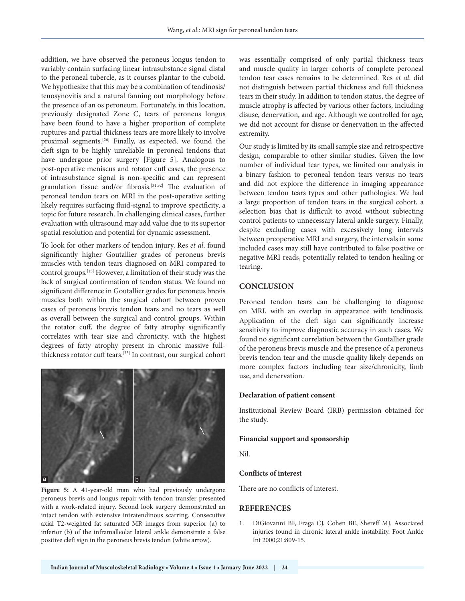addition, we have observed the peroneus longus tendon to variably contain surfacing linear intrasubstance signal distal to the peroneal tubercle, as it courses plantar to the cuboid. We hypothesize that this may be a combination of tendinosis/ tenosynovitis and a natural fanning out morphology before the presence of an os peroneum. Fortunately, in this location, previously designated Zone C, tears of peroneus longus have been found to have a higher proportion of complete ruptures and partial thickness tears are more likely to involve proximal segments.[26] Finally, as expected, we found the cleft sign to be highly unreliable in peroneal tendons that have undergone prior surgery [Figure 5]. Analogous to post-operative meniscus and rotator cuff cases, the presence of intrasubstance signal is non-specific and can represent granulation tissue and/or fibrosis.[31,32] The evaluation of peroneal tendon tears on MRI in the post-operative setting likely requires surfacing fluid-signal to improve specificity, a topic for future research. In challenging clinical cases, further evaluation with ultrasound may add value due to its superior spatial resolution and potential for dynamic assessment.

To look for other markers of tendon injury, Res *et al*. found significantly higher Goutallier grades of peroneus brevis muscles with tendon tears diagnosed on MRI compared to control groups.[15] However, a limitation of their study was the lack of surgical confirmation of tendon status. We found no significant difference in Goutallier grades for peroneus brevis muscles both within the surgical cohort between proven cases of peroneus brevis tendon tears and no tears as well as overall between the surgical and control groups. Within the rotator cuff, the degree of fatty atrophy significantly correlates with tear size and chronicity, with the highest degrees of fatty atrophy present in chronic massive fullthickness rotator cuff tears.[33] In contrast, our surgical cohort



**Figure 5:** A 41-year-old man who had previously undergone peroneus brevis and longus repair with tendon transfer presented with a work-related injury. Second look surgery demonstrated an intact tendon with extensive intratendinous scarring. Consecutive axial T2-weighted fat saturated MR images from superior (a) to inferior (b) of the inframalleolar lateral ankle demonstrate a false positive cleft sign in the peroneus brevis tendon (white arrow).

was essentially comprised of only partial thickness tears and muscle quality in larger cohorts of complete peroneal tendon tear cases remains to be determined. Res *et al*. did not distinguish between partial thickness and full thickness tears in their study. In addition to tendon status, the degree of muscle atrophy is affected by various other factors, including disuse, denervation, and age. Although we controlled for age, we did not account for disuse or denervation in the affected extremity.

Our study is limited by its small sample size and retrospective design, comparable to other similar studies. Given the low number of individual tear types, we limited our analysis in a binary fashion to peroneal tendon tears versus no tears and did not explore the difference in imaging appearance between tendon tears types and other pathologies. We had a large proportion of tendon tears in the surgical cohort, a selection bias that is difficult to avoid without subjecting control patients to unnecessary lateral ankle surgery. Finally, despite excluding cases with excessively long intervals between preoperative MRI and surgery, the intervals in some included cases may still have contributed to false positive or negative MRI reads, potentially related to tendon healing or tearing.

# **CONCLUSION**

Peroneal tendon tears can be challenging to diagnose on MRI, with an overlap in appearance with tendinosis. Application of the cleft sign can significantly increase sensitivity to improve diagnostic accuracy in such cases. We found no significant correlation between the Goutallier grade of the peroneus brevis muscle and the presence of a peroneus brevis tendon tear and the muscle quality likely depends on more complex factors including tear size/chronicity, limb use, and denervation.

# **Declaration of patient consent**

Institutional Review Board (IRB) permission obtained for the study.

#### **Financial support and sponsorship**

Nil.

#### **Conflicts of interest**

There are no conflicts of interest.

#### **REFERENCES**

1. DiGiovanni BF, Fraga CJ, Cohen BE, Shereff MJ. Associated injuries found in chronic lateral ankle instability. Foot Ankle Int 2000;21:809-15.